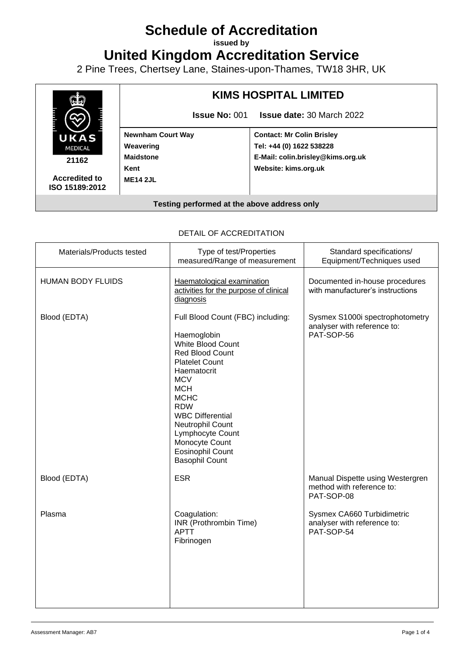# **Schedule of Accreditation**

**issued by**

**United Kingdom Accreditation Service**

2 Pine Trees, Chertsey Lane, Staines-upon-Thames, TW18 3HR, UK



**Accredited to ISO 15189:2012**

## **KIMS HOSPITAL LIMITED**

**Issue No:** 001 **Issue date:** 30 March 2022

**Newnham Court Way Weavering Maidstone Kent ME14 2JL**

**Contact: Mr Colin Brisley Tel: +44 (0) 1622 538228 E-Mail: colin.brisley@kims.org.uk Website: kims.org.uk**

#### **Testing performed at the above address only**

| Materials/Products tested | Type of test/Properties<br>measured/Range of measurement                                                                                                                                                                                                                                                                           | Standard specifications/<br>Equipment/Techniques used                        |
|---------------------------|------------------------------------------------------------------------------------------------------------------------------------------------------------------------------------------------------------------------------------------------------------------------------------------------------------------------------------|------------------------------------------------------------------------------|
| <b>HUMAN BODY FLUIDS</b>  | Haematological examination<br>activities for the purpose of clinical<br>diagnosis                                                                                                                                                                                                                                                  | Documented in-house procedures<br>with manufacturer's instructions           |
| Blood (EDTA)              | Full Blood Count (FBC) including:<br>Haemoglobin<br>White Blood Count<br>Red Blood Count<br><b>Platelet Count</b><br>Haematocrit<br><b>MCV</b><br><b>MCH</b><br><b>MCHC</b><br><b>RDW</b><br><b>WBC Differential</b><br>Neutrophil Count<br>Lymphocyte Count<br>Monocyte Count<br><b>Eosinophil Count</b><br><b>Basophil Count</b> | Sysmex S1000i spectrophotometry<br>analyser with reference to:<br>PAT-SOP-56 |
| Blood (EDTA)              | <b>ESR</b>                                                                                                                                                                                                                                                                                                                         | Manual Dispette using Westergren<br>method with reference to:<br>PAT-SOP-08  |
| Plasma                    | Coagulation:<br>INR (Prothrombin Time)<br>APTT<br>Fibrinogen                                                                                                                                                                                                                                                                       | Sysmex CA660 Turbidimetric<br>analyser with reference to:<br>PAT-SOP-54      |

#### DETAIL OF ACCREDITATION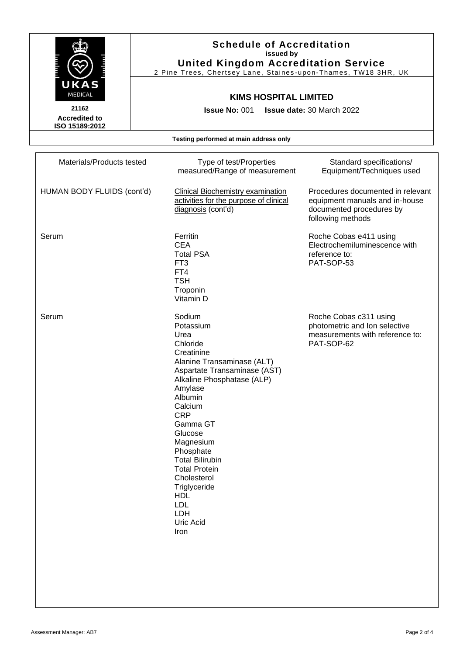

#### **Schedule of Accreditation issued by United Kingdom Accreditation Service**

2 Pine Trees, Chertsey Lane, Staines -upon -Thames, TW18 3HR, UK

#### **KIMS HOSPITAL LIMITED**

**Issue No:** 001 **Issue date:** 30 March 2022

**Accredited to ISO 15189:2012**

**Testing performed at main address only**

| Materials/Products tested  | Type of test/Properties<br>measured/Range of measurement                                                                                                                                                                                                                                                                                                                                   | Standard specifications/<br>Equipment/Techniques used                                                                |
|----------------------------|--------------------------------------------------------------------------------------------------------------------------------------------------------------------------------------------------------------------------------------------------------------------------------------------------------------------------------------------------------------------------------------------|----------------------------------------------------------------------------------------------------------------------|
| HUMAN BODY FLUIDS (cont'd) | <b>Clinical Biochemistry examination</b><br>activities for the purpose of clinical<br>diagnosis (cont'd)                                                                                                                                                                                                                                                                                   | Procedures documented in relevant<br>equipment manuals and in-house<br>documented procedures by<br>following methods |
| Serum                      | Ferritin<br><b>CEA</b><br><b>Total PSA</b><br>FT <sub>3</sub><br>FT4<br><b>TSH</b><br>Troponin<br>Vitamin D                                                                                                                                                                                                                                                                                | Roche Cobas e411 using<br>Electrochemiluminescence with<br>reference to:<br>PAT-SOP-53                               |
| Serum                      | Sodium<br>Potassium<br>Urea<br>Chloride<br>Creatinine<br>Alanine Transaminase (ALT)<br>Aspartate Transaminase (AST)<br>Alkaline Phosphatase (ALP)<br>Amylase<br>Albumin<br>Calcium<br><b>CRP</b><br>Gamma GT<br>Glucose<br>Magnesium<br>Phosphate<br><b>Total Bilirubin</b><br><b>Total Protein</b><br>Cholesterol<br>Triglyceride<br><b>HDL</b><br><b>LDL</b><br>LDH<br>Uric Acid<br>Iron | Roche Cobas c311 using<br>photometric and Ion selective<br>measurements with reference to:<br>PAT-SOP-62             |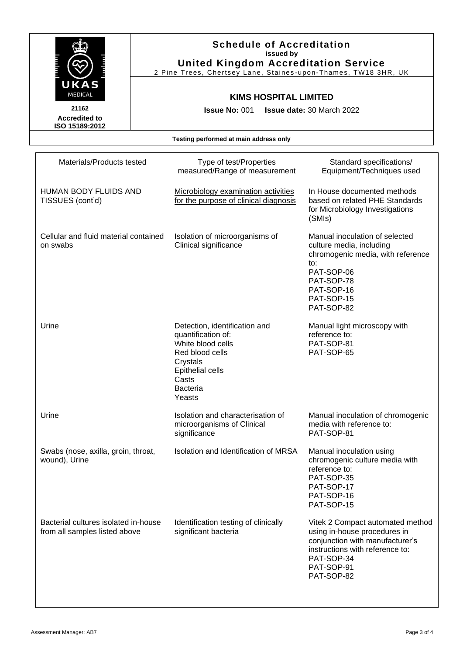

**Accredited to ISO 15189:2012**

#### **Schedule of Accreditation issued by United Kingdom Accreditation Service**

2 Pine Trees, Chertsey Lane, Staines -upon -Thames, TW18 3HR, UK

### **KIMS HOSPITAL LIMITED**

**Issue No:** 001 **Issue date:** 30 March 2022

**Testing performed at main address only**

| Materials/Products tested                                             | Type of test/Properties<br>measured/Range of measurement                                                                                                          | Standard specifications/<br>Equipment/Techniques used                                                                                                                            |
|-----------------------------------------------------------------------|-------------------------------------------------------------------------------------------------------------------------------------------------------------------|----------------------------------------------------------------------------------------------------------------------------------------------------------------------------------|
| <b>HUMAN BODY FLUIDS AND</b><br>TISSUES (cont'd)                      | Microbiology examination activities<br>for the purpose of clinical diagnosis                                                                                      | In House documented methods<br>based on related PHE Standards<br>for Microbiology Investigations<br>(SMIs)                                                                       |
| Cellular and fluid material contained<br>on swabs                     | Isolation of microorganisms of<br>Clinical significance                                                                                                           | Manual inoculation of selected<br>culture media, including<br>chromogenic media, with reference<br>to:<br>PAT-SOP-06<br>PAT-SOP-78<br>PAT-SOP-16<br>PAT-SOP-15<br>PAT-SOP-82     |
| Urine                                                                 | Detection, identification and<br>quantification of:<br>White blood cells<br>Red blood cells<br>Crystals<br>Epithelial cells<br>Casts<br><b>Bacteria</b><br>Yeasts | Manual light microscopy with<br>reference to:<br>PAT-SOP-81<br>PAT-SOP-65                                                                                                        |
| Urine                                                                 | Isolation and characterisation of<br>microorganisms of Clinical<br>significance                                                                                   | Manual inoculation of chromogenic<br>media with reference to:<br>PAT-SOP-81                                                                                                      |
| Swabs (nose, axilla, groin, throat,<br>wound), Urine                  | Isolation and Identification of MRSA                                                                                                                              | Manual inoculation using<br>chromogenic culture media with<br>reference to:<br>PAT-SOP-35<br>PAT-SOP-17<br>PAT-SOP-16<br>PAT-SOP-15                                              |
| Bacterial cultures isolated in-house<br>from all samples listed above | Identification testing of clinically<br>significant bacteria                                                                                                      | Vitek 2 Compact automated method<br>using in-house procedures in<br>conjunction with manufacturer's<br>instructions with reference to:<br>PAT-SOP-34<br>PAT-SOP-91<br>PAT-SOP-82 |